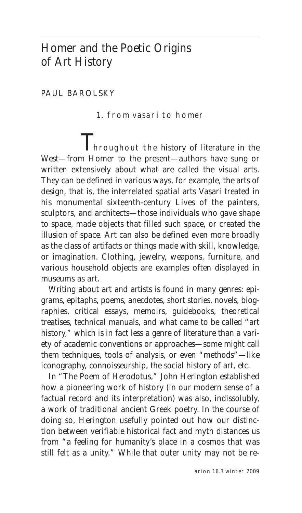# Homer and the Poetic Origins of Art History

PAUL BAROLSKY

#### 1. from vasari to homer

I hroughout the history of literature in the West—from Homer to the present—authors have sung or written extensively about what are called the visual arts. They can be defined in various ways, for example, the arts of design, that is, the interrelated spatial arts Vasari treated in his monumental sixteenth-century *Lives* of the painters, sculptors, and architects—those individuals who gave shape to space, made objects that filled such space, or created the illusion of space. Art can also be defined even more broadly as the class of artifacts or things made with skill, knowledge, or imagination. Clothing, jewelry, weapons, furniture, and various household objects are examples often displayed in museums as art.

Writing about art and artists is found in many genres: epigrams, epitaphs, poems, anecdotes, short stories, novels, biographies, critical essays, memoirs, guidebooks, theoretical treatises, technical manuals, and what came to be called "art history," which is in fact less a genre of literature than a variety of academic conventions or approaches—some might call them techniques, tools of analysis, or even "methods"—like iconography, connoisseurship, the social history of art, etc.

In "The Poem of Herodotus," John Herington established how a pioneering work of history (in our modern sense of a factual record and its interpretation) was also, indissolubly, a work of traditional ancient Greek poetry. In the course of doing so, Herington usefully pointed out how our distinction between verifiable historical fact and myth distances us from "a feeling for humanity's place in a cosmos that was still felt as a unity." While that outer unity may not be re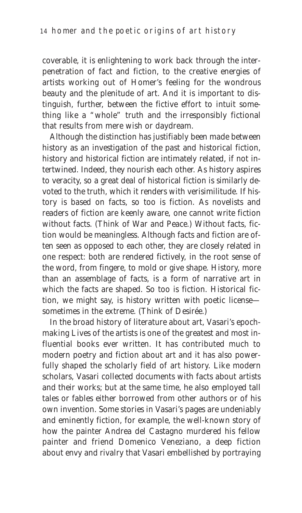coverable, it is enlightening to work back through the interpenetration of fact and fiction, to the creative energies of artists working out of Homer's feeling for the wondrous beauty and the plenitude of art. And it is important to distinguish, further, between the fictive effort to intuit something like a "whole" truth and the irresponsibly fictional that results from mere wish or daydream.

Although the distinction has justifiably been made between history as an investigation of the past and historical fiction, history and historical fiction are intimately related, if not intertwined. Indeed, they nourish each other. As history aspires to veracity, so a great deal of historical fiction is similarly devoted to the truth, which it renders with verisimilitude. If history is based on facts, so too is fiction. As novelists and readers of fiction are keenly aware, one cannot write fiction without facts. (Think of *War and Peace.*) Without facts, fiction would be meaningless. Although facts and fiction are often seen as opposed to each other, they are closely related in one respect: both are rendered fictively, in the root sense of the word, from *fingere*, to mold or give shape. History, more than an assemblage of facts, is a form of narrative art in which the facts are shaped. So too is fiction. Historical fiction, we might say, is history written with poetic license sometimes in the extreme. (Think of *Desirée*.)

In the broad history of literature about art, Vasari's epochmaking *Lives* of the artists is one of the greatest and most influential books ever written. It has contributed much to modern poetry and fiction about art and it has also powerfully shaped the scholarly field of art history. Like modern scholars, Vasari collected documents with facts about artists and their works; but at the same time, he also employed tall tales or fables either borrowed from other authors or of his own invention. Some stories in Vasari's pages are undeniably and eminently fiction, for example, the well-known story of how the painter Andrea del Castagno murdered his fellow painter and friend Domenico Veneziano, a deep fiction about envy and rivalry that Vasari embellished by portraying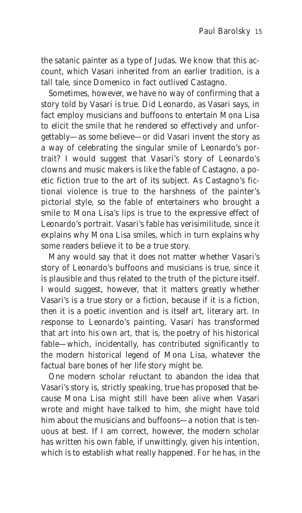the satanic painter as a type of Judas. We know that this account, which Vasari inherited from an earlier tradition, is a tall tale, since Domenico in fact outlived Castagno.

Sometimes, however, we have no way of confirming that a story told by Vasari is true. Did Leonardo, as Vasari says, in fact employ musicians and buffoons to entertain Mona Lisa to elicit the smile that he rendered so effectively and unforgettably—as some believe—or did Vasari invent the story as a way of celebrating the singular smile of Leonardo's portrait? I would suggest that Vasari's story of Leonardo's clowns and music makers is like the fable of Castagno, a poetic fiction true to the art of its subject. As Castagno's fictional violence is true to the harshness of the painter's pictorial style, so the fable of entertainers who brought a smile to Mona Lisa's lips is true to the expressive effect of Leonardo's portrait. Vasari's fable has verisimilitude, since it explains why Mona Lisa smiles, which in turn explains why some readers believe it to be a true story.

Many would say that it does not matter whether Vasari's story of Leonardo's buffoons and musicians is true, since it is plausible and thus related to the truth of the picture itself. I would suggest, however, that it matters greatly whether Vasari's is a true story or a fiction, because if it is a fiction, then it is a poetic invention and is itself art, literary art. In response to Leonardo's painting, Vasari has transformed that art into his own art, that is, the poetry of his historical fable—which, incidentally, has contributed significantly to the modern historical legend of Mona Lisa, whatever the factual bare bones of her life story might be.

One modern scholar reluctant to abandon the idea that Vasari's story is, strictly speaking, true has proposed that because Mona Lisa might still have been alive when Vasari wrote and might have talked to him, she might have told him about the musicians and buffoons—a notion that is tenuous at best. If I am correct, however, the modern scholar has written his own fable, if unwittingly, given his intention, which is to establish what really happened. For he has, in the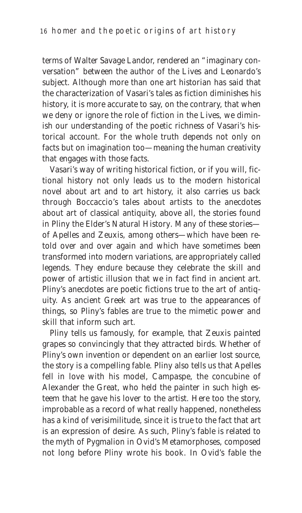terms of Walter Savage Landor, rendered an "imaginary conversation" between the author of the *Lives* and Leonardo's subject. Although more than one art historian has said that the characterization of Vasari's tales as fiction diminishes his history, it is more accurate to say, on the contrary, that when we deny or ignore the role of fiction in the *Lives*, we diminish our understanding of the poetic richness of Vasari's historical account. For the whole truth depends not only on facts but on imagination too—meaning the human creativity that engages with those facts.

Vasari's way of writing historical fiction, or if you will, fictional history not only leads us to the modern historical novel about art and to art history, it also carries us back through Boccaccio's tales about artists to the anecdotes about art of classical antiquity, above all, the stories found in Pliny the Elder's *Natural History*. Many of these stories of Apelles and Zeuxis, among others—which have been retold over and over again and which have sometimes been transformed into modern variations, are appropriately called legends. They endure because they celebrate the skill and power of artistic illusion that we in fact find in ancient art. Pliny's anecdotes are poetic fictions true to the art of antiquity. As ancient Greek art was true to the appearances of things, so Pliny's fables are true to the mimetic power and skill that inform such art.

Pliny tells us famously, for example, that Zeuxis painted grapes so convincingly that they attracted birds. Whether of Pliny's own invention or dependent on an earlier lost source, the story is a compelling fable. Pliny also tells us that Apelles fell in love with his model, Campaspe, the concubine of Alexander the Great, who held the painter in such high esteem that he gave his lover to the artist. Here too the story, improbable as a record of what really happened, nonetheless has a kind of verisimilitude, since it is true to the fact that art is an expression of desire. As such, Pliny's fable is related to the myth of Pygmalion in Ovid's *Metamorphoses*, composed not long before Pliny wrote his book. In Ovid's fable the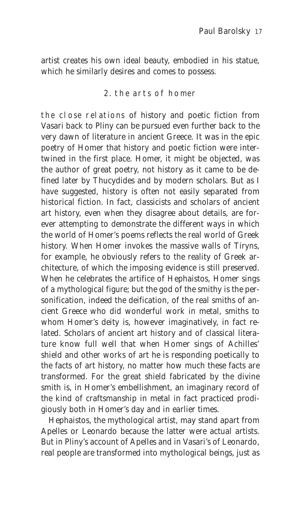artist creates his own ideal beauty, embodied in his statue, which he similarly desires and comes to possess.

#### 2. the arts of homer

the close relations of history and poetic fiction from Vasari back to Pliny can be pursued even further back to the very dawn of literature in ancient Greece. It was in the epic poetry of Homer that history and poetic fiction were intertwined in the first place. Homer, it might be objected, was the author of great poetry, not history as it came to be defined later by Thucydides and by modern scholars. But as I have suggested, history is often not easily separated from historical fiction. In fact, classicists and scholars of ancient art history, even when they disagree about details, are forever attempting to demonstrate the different ways in which the world of Homer's poems reflects the real world of Greek history. When Homer invokes the massive walls of Tiryns, for example, he obviously refers to the reality of Greek architecture, of which the imposing evidence is still preserved. When he celebrates the artifice of Hephaistos, Homer sings of a mythological figure; but the god of the smithy is the personification, indeed the deification, of the real smiths of ancient Greece who did wonderful work in metal, smiths to whom Homer's deity is, however imaginatively, in fact related. Scholars of ancient art history and of classical literature know full well that when Homer sings of Achilles' shield and other works of art he is responding poetically to the facts of art history, no matter how much these facts are transformed. For the great shield fabricated by the divine smith is, in Homer's embellishment, an imaginary record of the kind of craftsmanship in metal in fact practiced prodigiously both in Homer's day and in earlier times.

Hephaistos, the mythological artist, may stand apart from Apelles or Leonardo because the latter were actual artists. But in Pliny's account of Apelles and in Vasari's of Leonardo, real people are transformed into mythological beings, just as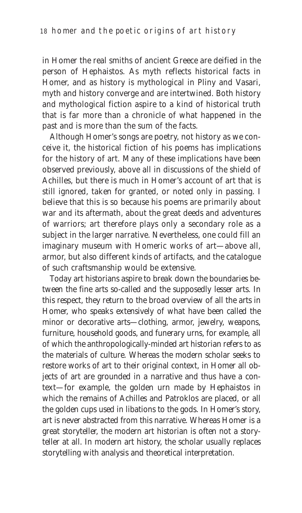in Homer the real smiths of ancient Greece are deified in the person of Hephaistos. As myth reflects historical facts in Homer, and as history is mythological in Pliny and Vasari, myth and history converge and are intertwined. Both history and mythological fiction aspire to a kind of historical truth that is far more than a chronicle of what happened in the past and is more than the sum of the facts.

Although Homer's songs are poetry, not history as we conceive it, the historical fiction of his poems has implications for the history of art. Many of these implications have been observed previously, above all in discussions of the shield of Achilles, but there is much in Homer's account of art that is still ignored, taken for granted, or noted only in passing. I believe that this is so because his poems are primarily about war and its aftermath, about the great deeds and adventures of warriors; art therefore plays only a secondary role as a subject in the larger narrative. Nevertheless, one could fill an imaginary museum with Homeric works of art—above all, armor, but also different kinds of artifacts, and the catalogue of such craftsmanship would be extensive.

Today art historians aspire to break down the boundaries between the fine arts so-called and the supposedly lesser arts. In this respect, they return to the broad overview of all the arts in Homer, who speaks extensively of what have been called the minor or decorative arts—clothing, armor, jewelry, weapons, furniture, household goods, and funerary urns, for example, all of which the anthropologically-minded art historian refers to as the materials of culture. Whereas the modern scholar seeks to restore works of art to their original context, in Homer all objects of art are grounded in a narrative and thus have a context—for example, the golden urn made by Hephaistos in which the remains of Achilles and Patroklos are placed, or all the golden cups used in libations to the gods. In Homer's story, art is never abstracted from this narrative. Whereas Homer is a great storyteller, the modern art historian is often not a storyteller at all. In modern art history, the scholar usually replaces storytelling with analysis and theoretical interpretation.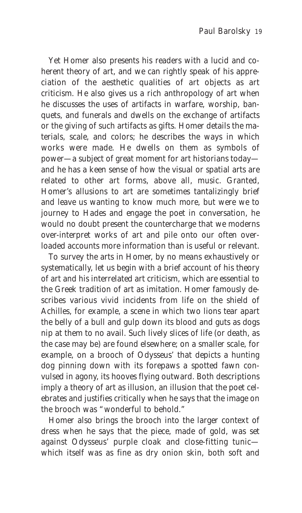Yet Homer also presents his readers with a lucid and coherent theory of art, and we can rightly speak of his appreciation of the aesthetic qualities of art objects as art criticism. He also gives us a rich anthropology of art when he discusses the uses of artifacts in warfare, worship, banquets, and funerals and dwells on the exchange of artifacts or the giving of such artifacts as gifts. Homer details the materials, scale, and colors; he describes the ways in which works were made. He dwells on them as symbols of power—a subject of great moment for art historians today and he has a keen sense of how the visual or spatial arts are related to other art forms, above all, music. Granted, Homer's allusions to art are sometimes tantalizingly brief and leave us wanting to know much more, but were we to journey to Hades and engage the poet in conversation, he would no doubt present the countercharge that we moderns over-interpret works of art and pile onto our often overloaded accounts more information than is useful or relevant.

To survey the arts in Homer, by no means exhaustively or systematically, let us begin with a brief account of his theory of art and his interrelated art criticism, which are essential to the Greek tradition of art as imitation. Homer famously describes various vivid incidents from life on the shield of Achilles, for example, a scene in which two lions tear apart the belly of a bull and gulp down its blood and guts as dogs nip at them to no avail. Such lively slices of life (or death, as the case may be) are found elsewhere; on a smaller scale, for example, on a brooch of Odysseus' that depicts a hunting dog pinning down with its forepaws a spotted fawn convulsed in agony, its hooves flying outward. Both descriptions imply a theory of art as illusion, an illusion that the poet celebrates and justifies critically when he says that the image on the brooch was "wonderful to behold."

Homer also brings the brooch into the larger context of dress when he says that the piece, made of gold, was set against Odysseus' purple cloak and close-fitting tunic which itself was as fine as dry onion skin, both soft and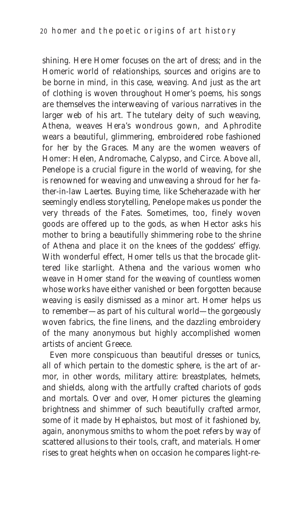shining. Here Homer focuses on the art of dress; and in the Homeric world of relationships, sources and origins are to be borne in mind, in this case, weaving. And just as the art of clothing is woven throughout Homer's poems, his songs are themselves the interweaving of various narratives in the larger web of his art. The tutelary deity of such weaving, Athena, weaves Hera's wondrous gown, and Aphrodite wears a beautiful, glimmering, embroidered robe fashioned for her by the Graces. Many are the women weavers of Homer: Helen, Andromache, Calypso, and Circe. Above all, Penelope is a crucial figure in the world of weaving, for she is renowned for weaving and unweaving a shroud for her father-in-law Laertes. Buying time, like Scheherazade with her seemingly endless storytelling, Penelope makes us ponder the very threads of the Fates. Sometimes, too, finely woven goods are offered up to the gods, as when Hector asks his mother to bring a beautifully shimmering robe to the shrine of Athena and place it on the knees of the goddess' effigy. With wonderful effect, Homer tells us that the brocade glittered like starlight. Athena and the various women who weave in Homer stand for the weaving of countless women whose works have either vanished or been forgotten because weaving is easily dismissed as a minor art. Homer helps us to remember—as part of his cultural world—the gorgeously woven fabrics, the fine linens, and the dazzling embroidery of the many anonymous but highly accomplished women artists of ancient Greece.

Even more conspicuous than beautiful dresses or tunics, all of which pertain to the domestic sphere, is the art of armor, in other words, military attire: breastplates, helmets, and shields, along with the artfully crafted chariots of gods and mortals. Over and over, Homer pictures the gleaming brightness and shimmer of such beautifully crafted armor, some of it made by Hephaistos, but most of it fashioned by, again, anonymous smiths to whom the poet refers by way of scattered allusions to their tools, craft, and materials. Homer rises to great heights when on occasion he compares light-re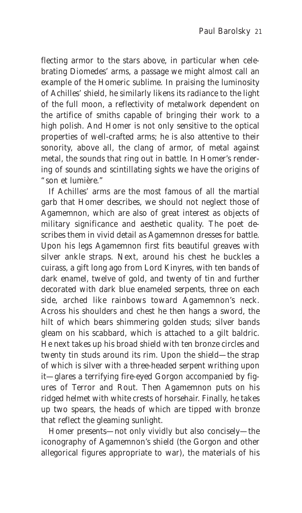flecting armor to the stars above, in particular when celebrating Diomedes' arms, a passage we might almost call an example of the Homeric sublime. In praising the luminosity of Achilles' shield, he similarly likens its radiance to the light of the full moon, a reflectivity of metalwork dependent on the artifice of smiths capable of bringing their work to a high polish. And Homer is not only sensitive to the optical properties of well-crafted arms; he is also attentive to their sonority, above all, the clang of armor, of metal against metal, the sounds that ring out in battle. In Homer's rendering of sounds and scintillating sights we have the origins of "son et lumière."

If Achilles' arms are the most famous of all the martial garb that Homer describes, we should not neglect those of Agamemnon, which are also of great interest as objects of military significance and aesthetic quality. The poet describes them in vivid detail as Agamemnon dresses for battle. Upon his legs Agamemnon first fits beautiful greaves with silver ankle straps. Next, around his chest he buckles a cuirass, a gift long ago from Lord Kinyres, with ten bands of dark enamel, twelve of gold, and twenty of tin and further decorated with dark blue enameled serpents, three on each side, arched like rainbows toward Agamemnon's neck. Across his shoulders and chest he then hangs a sword, the hilt of which bears shimmering golden studs; silver bands gleam on his scabbard, which is attached to a gilt baldric. He next takes up his broad shield with ten bronze circles and twenty tin studs around its rim. Upon the shield—the strap of which is silver with a three-headed serpent writhing upon it—glares a terrifying fire-eyed Gorgon accompanied by figures of Terror and Rout. Then Agamemnon puts on his ridged helmet with white crests of horsehair. Finally, he takes up two spears, the heads of which are tipped with bronze that reflect the gleaming sunlight.

Homer presents—not only vividly but also concisely—the iconography of Agamemnon's shield (the Gorgon and other allegorical figures appropriate to war), the materials of his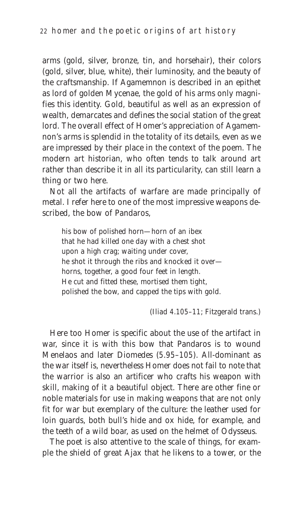arms (gold, silver, bronze, tin, and horsehair), their colors (gold, silver, blue, white), their luminosity, and the beauty of the craftsmanship. If Agamemnon is described in an epithet as lord of golden Mycenae, the gold of his arms only magnifies this identity. Gold, beautiful as well as an expression of wealth, demarcates and defines the social station of the great lord. The overall effect of Homer's appreciation of Agamemnon's arms is splendid in the totality of its details, even as we are impressed by their place in the context of the poem. The modern art historian, who often tends to talk around art rather than describe it in all its particularity, can still learn a thing or two here.

Not all the artifacts of warfare are made principally of metal. I refer here to one of the most impressive weapons described, the bow of Pandaros,

his bow of polished horn—horn of an ibex that he had killed one day with a chest shot upon a high crag; waiting under cover, he shot it through the ribs and knocked it over horns, together, a good four feet in length. He cut and fitted these, mortised them tight, polished the bow, and capped the tips with gold.

(*Iliad* 4.105–11; Fitzgerald trans.)

Here too Homer is specific about the use of the artifact in war, since it is with this bow that Pandaros is to wound Menelaos and later Diomedes (5.95–105). All-dominant as the war itself is, nevertheless Homer does not fail to note that the warrior is also an artificer who crafts his weapon with skill, making of it a beautiful object. There are other fine or noble materials for use in making weapons that are not only fit for war but exemplary of the culture: the leather used for loin guards, both bull's hide and ox hide, for example, and the teeth of a wild boar, as used on the helmet of Odysseus.

The poet is also attentive to the scale of things, for example the shield of great Ajax that he likens to a tower, or the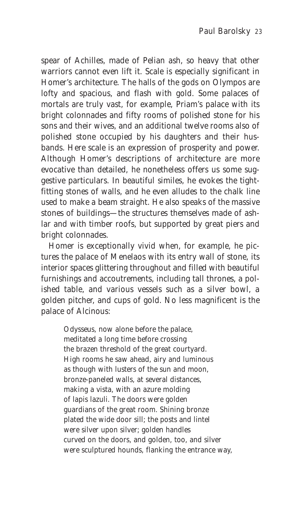spear of Achilles, made of Pelian ash, so heavy that other warriors cannot even lift it. Scale is especially significant in Homer's architecture. The halls of the gods on Olympos are lofty and spacious, and flash with gold. Some palaces of mortals are truly vast, for example, Priam's palace with its bright colonnades and fifty rooms of polished stone for his sons and their wives, and an additional twelve rooms also of polished stone occupied by his daughters and their husbands. Here scale is an expression of prosperity and power. Although Homer's descriptions of architecture are more evocative than detailed, he nonetheless offers us some suggestive particulars. In beautiful similes, he evokes the tightfitting stones of walls, and he even alludes to the chalk line used to make a beam straight. He also speaks of the massive stones of buildings—the structures themselves made of ashlar and with timber roofs, but supported by great piers and bright colonnades.

Homer is exceptionally vivid when, for example, he pictures the palace of Menelaos with its entry wall of stone, its interior spaces glittering throughout and filled with beautiful furnishings and accoutrements, including tall thrones, a polished table, and various vessels such as a silver bowl, a golden pitcher, and cups of gold. No less magnificent is the palace of Alcinous:

> Odysseus, now alone before the palace, meditated a long time before crossing the brazen threshold of the great courtyard. High rooms he saw ahead, airy and luminous as though with lusters of the sun and moon, bronze-paneled walls, at several distances, making a vista, with an azure molding of lapis lazuli. The doors were golden guardians of the great room. Shining bronze plated the wide door sill; the posts and lintel were silver upon silver; golden handles curved on the doors, and golden, too, and silver were sculptured hounds, flanking the entrance way,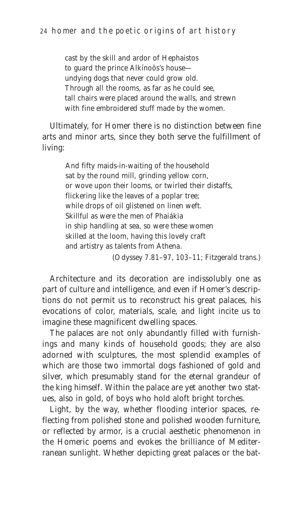cast by the skill and ardor of Hephaistos to guard the prince Alkínoös's house undying dogs that never could grow old. Through all the rooms, as far as he could see, tall chairs were placed around the walls, and strewn with fine embroidered stuff made by the women.

Ultimately, for Homer there is no distinction between fine arts and minor arts, since they both serve the fulfillment of living:

> And fifty maids-in-waiting of the household sat by the round mill, grinding yellow corn, or wove upon their looms, or twirled their distaffs, flickering like the leaves of a poplar tree; while drops of oil glistened on linen weft. Skillful as were the men of Phaiákia in ship handling at sea, so were these women skilled at the loom, having this lovely craft and artistry as talents from Athena.

(*Odyssey* 7.81–97, 103–11; Fitzgerald trans.)

Architecture and its decoration are indissolubly one as part of culture and intelligence, and even if Homer's descriptions do not permit us to reconstruct his great palaces, his evocations of color, materials, scale, and light incite us to imagine these magnificent dwelling spaces.

The palaces are not only abundantly filled with furnishings and many kinds of household goods; they are also adorned with sculptures, the most splendid examples of which are those two immortal dogs fashioned of gold and silver, which presumably stand for the eternal grandeur of the king himself. Within the palace are yet another two statues, also in gold, of boys who hold aloft bright torches.

Light, by the way, whether flooding interior spaces, reflecting from polished stone and polished wooden furniture, or reflected by armor, is a crucial aesthetic phenomenon in the Homeric poems and evokes the brilliance of Mediterranean sunlight. Whether depicting great palaces or the bat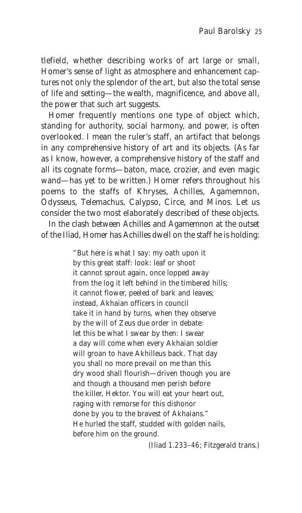tlefield, whether describing works of art large or small, Homer's sense of light as atmosphere and enhancement captures not only the splendor of the art, but also the total sense of life and setting—the wealth, magnificence, and above all, the power that such art suggests.

Homer frequently mentions one type of object which, standing for authority, social harmony, and power, is often overlooked. I mean the ruler's staff, an artifact that belongs in any comprehensive history of art and its objects. (As far as I know, however, a comprehensive history of the staff and all its cognate forms—baton, mace, crozier, and even magic wand—has yet to be written.) Homer refers throughout his poems to the staffs of Khryses, Achilles, Agamemnon, Odysseus, Telemachus, Calypso, Circe, and Minos. Let us consider the two most elaborately described of these objects.

In the clash between Achilles and Agamemnon at the outset of the *Iliad*, Homer has Achilles dwell on the staff he is holding:

> "But here is what I say: my oath upon it by this great staff: look: leaf or shoot it cannot sprout again, once lopped away from the log it left behind in the timbered hills; it cannot flower, peeled of bark and leaves; instead, Akhaian officers in council take it in hand by turns, when they observe by the will of Zeus due order in debate: let this be what I swear by then: I swear a day will come when every Akhaian soldier will groan to have Akhilleus back. That day you shall no more prevail on me than this dry wood shall flourish—driven though you are and though a thousand men perish before the killer, Hektor. You will eat your heart out, raging with remorse for this dishonor done by you to the bravest of Akhaians." He hurled the staff, studded with golden nails, before him on the ground.

> > (*Iliad* 1.233–46; Fitzgerald trans.)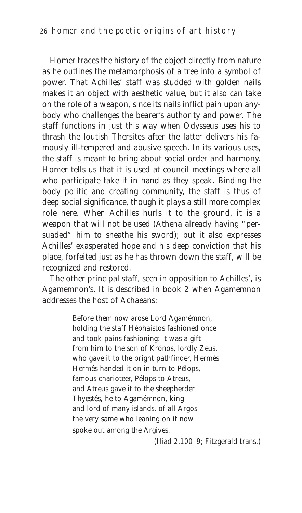#### 26 homer and the poetic origins of art history

Homer traces the history of the object directly from nature as he outlines the metamorphosis of a tree into a symbol of power. That Achilles' staff was studded with golden nails makes it an object with aesthetic value, but it also can take on the role of a weapon, since its nails inflict pain upon anybody who challenges the bearer's authority and power. The staff functions in just this way when Odysseus uses his to thrash the loutish Thersites after the latter delivers his famously ill-tempered and abusive speech. In its various uses, the staff is meant to bring about social order and harmony. Homer tells us that it is used at council meetings where all who participate take it in hand as they speak. Binding the body politic and creating community, the staff is thus of deep social significance, though it plays a still more complex role here. When Achilles hurls it to the ground, it is a weapon that will not be used (Athena already having "persuaded" him to sheathe his sword); but it also expresses Achilles' exasperated hope and his deep conviction that his place, forfeited just as he has thrown down the staff, will be recognized and restored.

The other principal staff, seen in opposition to Achilles', is Agamemnon's. It is described in book 2 when Agamemnon addresses the host of Achaeans:

> Before them now arose Lord Agamémnon, holding the staff Hêphaistos fashioned once and took pains fashioning: it was a gift from him to the son of Krónos, lordly Zeus, who gave it to the bright pathfinder, Hermês. Hermês handed it on in turn to Pélops, famous charioteer, Pélops to Atreus, and Atreus gave it to the sheepherder Thyestês, he to Agamémnon, king and lord of many islands, of all Argos the very same who leaning on it now spoke out among the Argives.

> > (*Iliad* 2.100–9; Fitzgerald trans.)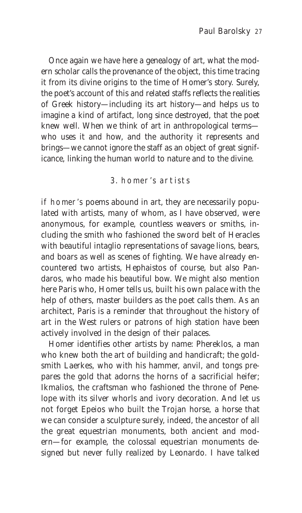Once again we have here a genealogy of art, what the modern scholar calls the provenance of the object, this time tracing it from its divine origins to the time of Homer's story. Surely, the poet's account of this and related staffs reflects the realities of Greek history—including its art history—and helps us to imagine a kind of artifact, long since destroyed, that the poet knew well. When we think of art in anthropological terms who uses it and how, and the authority it represents and brings—we cannot ignore the staff as an object of great significance, linking the human world to nature and to the divine.

## 3. homer's artists

if homer's poems abound in art, they are necessarily populated with artists, many of whom, as I have observed, were anonymous, for example, countless weavers or smiths, including the smith who fashioned the sword belt of Heracles with beautiful intaglio representations of savage lions, bears, and boars as well as scenes of fighting. We have already encountered two artists, Hephaistos of course, but also Pandaros, who made his beautiful bow. We might also mention here Paris who, Homer tells us, built his own palace with the help of others, master builders as the poet calls them. As an architect, Paris is a reminder that throughout the history of art in the West rulers or patrons of high station have been actively involved in the design of their palaces.

Homer identifies other artists by name: Phereklos, a man who knew both the art of building and handicraft; the goldsmith Laerkes, who with his hammer, anvil, and tongs prepares the gold that adorns the horns of a sacrificial heifer; Ikmalios, the craftsman who fashioned the throne of Penelope with its silver whorls and ivory decoration. And let us not forget Epeios who built the Trojan horse, a horse that we can consider a sculpture surely, indeed, the ancestor of all the great equestrian monuments, both ancient and modern—for example, the colossal equestrian monuments designed but never fully realized by Leonardo. I have talked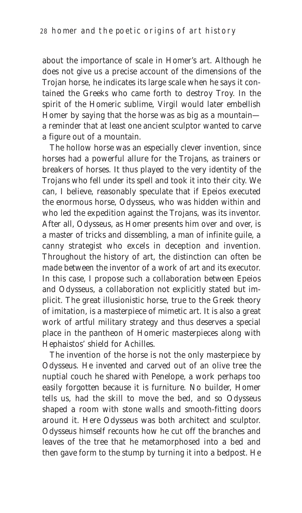about the importance of scale in Homer's art. Although he does not give us a precise account of the dimensions of the Trojan horse, he indicates its large scale when he says it contained the Greeks who came forth to destroy Troy. In the spirit of the Homeric sublime, Virgil would later embellish Homer by saying that the horse was as big as a mountain a reminder that at least one ancient sculptor wanted to carve a figure out of a mountain.

The hollow horse was an especially clever invention, since horses had a powerful allure for the Trojans, as trainers or breakers of horses. It thus played to the very identity of the Trojans who fell under its spell and took it into their city. We can, I believe, reasonably speculate that if Epeios executed the enormous horse, Odysseus, who was hidden within and who led the expedition against the Trojans, was its inventor. After all, Odysseus, as Homer presents him over and over, is a master of tricks and dissembling, a man of infinite guile, a canny strategist who excels in deception and invention. Throughout the history of art, the distinction can often be made between the inventor of a work of art and its executor. In this case, I propose such a collaboration between Epeios and Odysseus, a collaboration not explicitly stated but implicit. The great illusionistic horse, true to the Greek theory of imitation, is a masterpiece of mimetic art. It is also a great work of artful military strategy and thus deserves a special place in the pantheon of Homeric masterpieces along with Hephaistos' shield for Achilles.

The invention of the horse is not the only masterpiece by Odysseus. He invented and carved out of an olive tree the nuptial couch he shared with Penelope, a work perhaps too easily forgotten because it is furniture. No builder, Homer tells us, had the skill to move the bed, and so Odysseus shaped a room with stone walls and smooth-fitting doors around it. Here Odysseus was both architect and sculptor. Odysseus himself recounts how he cut off the branches and leaves of the tree that he metamorphosed into a bed and then gave form to the stump by turning it into a bedpost. He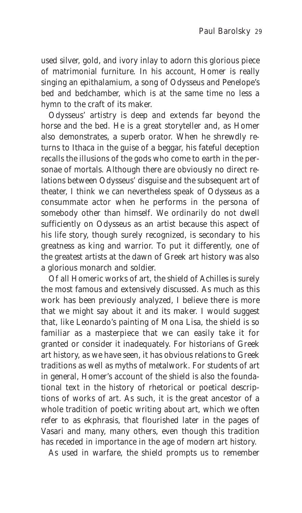used silver, gold, and ivory inlay to adorn this glorious piece of matrimonial furniture. In his account, Homer is really singing an epithalamium, a song of Odysseus and Penelope's bed and bedchamber, which is at the same time no less a hymn to the craft of its maker.

Odysseus' artistry is deep and extends far beyond the horse and the bed. He is a great storyteller and, as Homer also demonstrates, a superb orator. When he shrewdly returns to Ithaca in the guise of a beggar, his fateful deception recalls the illusions of the gods who come to earth in the personae of mortals. Although there are obviously no direct relations between Odysseus' disguise and the subsequent art of theater, I think we can nevertheless speak of Odysseus as a consummate actor when he performs in the persona of somebody other than himself. We ordinarily do not dwell sufficiently on Odysseus as an artist because this aspect of his life story, though surely recognized, is secondary to his greatness as king and warrior. To put it differently, one of the greatest artists at the dawn of Greek art history was also a glorious monarch and soldier.

Of all Homeric works of art, the shield of Achilles is surely the most famous and extensively discussed. As much as this work has been previously analyzed, I believe there is more that we might say about it and its maker. I would suggest that, like Leonardo's painting of Mona Lisa, the shield is so familiar as a masterpiece that we can easily take it for granted or consider it inadequately. For historians of Greek art history, as we have seen, it has obvious relations to Greek traditions as well as myths of metalwork. For students of art in general, Homer's account of the shield is also the foundational text in the history of rhetorical or poetical descriptions of works of art. As such, it is the great ancestor of a whole tradition of poetic writing about art, which we often refer to as ekphrasis, that flourished later in the pages of Vasari and many, many others, even though this tradition has receded in importance in the age of modern art history.

As used in warfare, the shield prompts us to remember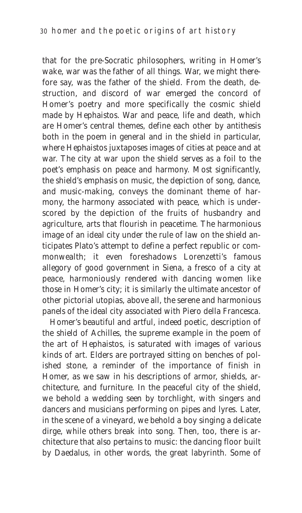## 30 homer and the poetic origins of art history

that for the pre-Socratic philosophers, writing in Homer's wake, war was the father of all things. War, we might therefore say, was the father of the shield. From the death, destruction, and discord of war emerged the concord of Homer's poetry and more specifically the cosmic shield made by Hephaistos. War and peace, life and death, which are Homer's central themes, define each other by antithesis both in the poem in general and in the shield in particular, where Hephaistos juxtaposes images of cities at peace and at war. The city at war upon the shield serves as a foil to the poet's emphasis on peace and harmony. Most significantly, the shield's emphasis on music, the depiction of song, dance, and music-making, conveys the dominant theme of harmony, the harmony associated with peace, which is underscored by the depiction of the fruits of husbandry and agriculture, arts that flourish in peacetime. The harmonious image of an ideal city under the rule of law on the shield anticipates Plato's attempt to define a perfect republic or commonwealth; it even foreshadows Lorenzetti's famous allegory of good government in Siena, a fresco of a city at peace, harmoniously rendered with dancing women like those in Homer's city; it is similarly the ultimate ancestor of other pictorial utopias, above all, the serene and harmonious panels of the ideal city associated with Piero della Francesca.

Homer's beautiful and artful, indeed poetic, description of the shield of Achilles, the supreme example in the poem of the art of Hephaistos, is saturated with images of various kinds of art. Elders are portrayed sitting on benches of polished stone, a reminder of the importance of finish in Homer, as we saw in his descriptions of armor, shields, architecture, and furniture. In the peaceful city of the shield, we behold a wedding seen by torchlight, with singers and dancers and musicians performing on pipes and lyres. Later, in the scene of a vineyard, we behold a boy singing a delicate dirge, while others break into song. Then, too, there is architecture that also pertains to music: the dancing floor built by Daedalus, in other words, the great labyrinth. Some of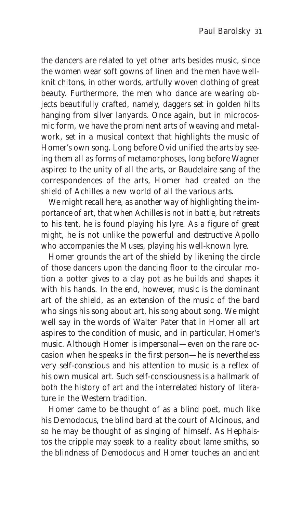the dancers are related to yet other arts besides music, since the women wear soft gowns of linen and the men have wellknit chitons, in other words, artfully woven clothing of great beauty. Furthermore, the men who dance are wearing objects beautifully crafted, namely, daggers set in golden hilts hanging from silver lanyards. Once again, but in microcosmic form, we have the prominent arts of weaving and metalwork, set in a musical context that highlights the music of Homer's own song. Long before Ovid unified the arts by seeing them all as forms of metamorphoses, long before Wagner aspired to the unity of all the arts, or Baudelaire sang of the correspondences of the arts, Homer had created on the shield of Achilles a new world of all the various arts.

We might recall here, as another way of highlighting the importance of art, that when Achilles is not in battle, but retreats to his tent, he is found playing his lyre. As a figure of great might, he is not unlike the powerful and destructive Apollo who accompanies the Muses, playing his well-known lyre.

Homer grounds the art of the shield by likening the circle of those dancers upon the dancing floor to the circular motion a potter gives to a clay pot as he builds and shapes it with his hands. In the end, however, music is the dominant art of the shield, as an extension of the music of the bard who sings his song about art, his song about song. We might well say in the words of Walter Pater that in Homer all art aspires to the condition of music, and in particular, Homer's music. Although Homer is impersonal—even on the rare occasion when he speaks in the first person—he is nevertheless very self-conscious and his attention to music is a reflex of his own musical art. Such self-consciousness is a hallmark of both the history of art and the interrelated history of literature in the Western tradition.

Homer came to be thought of as a blind poet, much like his Demodocus, the blind bard at the court of Alcinous, and so he may be thought of as singing of himself. As Hephaistos the cripple may speak to a reality about lame smiths, so the blindness of Demodocus and Homer touches an ancient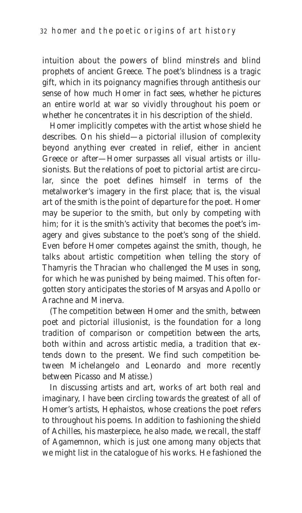intuition about the powers of blind minstrels and blind prophets of ancient Greece. The poet's blindness is a tragic gift, which in its poignancy magnifies through antithesis our sense of how much Homer in fact sees, whether he pictures an entire world at war so vividly throughout his poem or whether he concentrates it in his description of the shield.

Homer implicitly competes with the artist whose shield he describes. On *his* shield—a pictorial illusion of complexity beyond anything ever created in relief, either in ancient Greece or after—Homer surpasses all visual artists or illusionists. But the relations of poet to pictorial artist are circular, since the poet defines himself in terms of the metalworker's imagery in the first place; that is, the visual art of the smith is the point of departure for the poet. Homer may be superior to the smith, but only by competing with him; for it is the smith's activity that becomes the poet's imagery and gives substance to the poet's song of the shield. Even before Homer competes against the smith, though, he talks about artistic competition when telling the story of Thamyris the Thracian who challenged the Muses in song, for which he was punished by being maimed. This often forgotten story anticipates the stories of Marsyas and Apollo or Arachne and Minerva.

(The competition between Homer and the smith, between poet and pictorial illusionist, is the foundation for a long tradition of comparison or competition between the arts, both within and across artistic media, a tradition that extends down to the present. We find such competition between Michelangelo and Leonardo and more recently between Picasso and Matisse.)

In discussing artists and art, works of art both real and imaginary, I have been circling towards the greatest of all of Homer's artists, Hephaistos, whose creations the poet refers to throughout his poems. In addition to fashioning the shield of Achilles, his masterpiece, he also made, we recall, the staff of Agamemnon, which is just one among many objects that we might list in the catalogue of his works. He fashioned the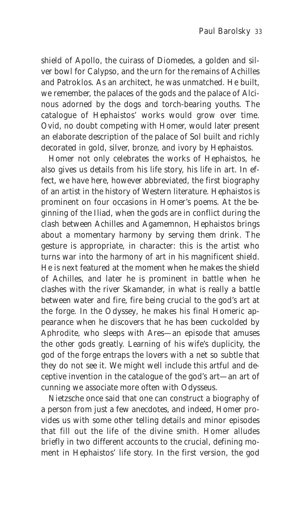shield of Apollo, the cuirass of Diomedes, a golden and silver bowl for Calypso, and the urn for the remains of Achilles and Patroklos. As an architect, he was unmatched. He built, we remember, the palaces of the gods and the palace of Alcinous adorned by the dogs and torch-bearing youths. The catalogue of Hephaistos' works would grow over time. Ovid, no doubt competing with Homer, would later present an elaborate description of the palace of Sol built and richly decorated in gold, silver, bronze, and ivory by Hephaistos.

Homer not only celebrates the works of Hephaistos, he also gives us details from his life story, his life in art. In effect, we have here, however abbreviated, the first biography of an artist in the history of Western literature. Hephaistos is prominent on four occasions in Homer's poems. At the beginning of the *Iliad*, when the gods are in conflict during the clash between Achilles and Agamemnon, Hephaistos brings about a momentary harmony by serving them drink. The gesture is appropriate, in character: this is the artist who turns war into the harmony of art in his magnificent shield. He is next featured at the moment when he makes the shield of Achilles, and later he is prominent in battle when he clashes with the river Skamander, in what is really a battle between water and fire, fire being crucial to the god's art at the forge. In the *Odyssey*, he makes his final Homeric appearance when he discovers that he has been cuckolded by Aphrodite, who sleeps with Ares—an episode that amuses the other gods greatly. Learning of his wife's duplicity, the god of the forge entraps the lovers with a net so subtle that they do not see it. We might well include this artful and deceptive invention in the catalogue of the god's art—an art of cunning we associate more often with Odysseus.

Nietzsche once said that one can construct a biography of a person from just a few anecdotes, and indeed, Homer provides us with some other telling details and minor episodes that fill out the life of the divine smith. Homer alludes briefly in two different accounts to the crucial, defining moment in Hephaistos' life story. In the first version, the god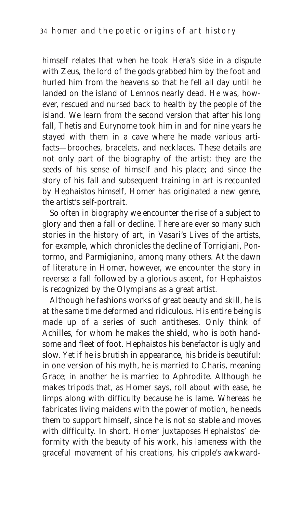himself relates that when he took Hera's side in a dispute with Zeus, the lord of the gods grabbed him by the foot and hurled him from the heavens so that he fell all day until he landed on the island of Lemnos nearly dead. He was, however, rescued and nursed back to health by the people of the island. We learn from the second version that after his long fall, Thetis and Eurynome took him in and for nine years he stayed with them in a cave where he made various artifacts—brooches, bracelets, and necklaces. These details are not only part of the biography of the artist; they are the seeds of his sense of himself and his place; and since the story of his fall and subsequent training in art is recounted by Hephaistos himself, Homer has originated a new genre, the artist's self-portrait.

So often in biography we encounter the rise of a subject to glory and then a fall or decline. There are ever so many such stories in the history of art, in Vasari's *Lives* of the artists, for example, which chronicles the decline of Torrigiani, Pontormo, and Parmigianino, among many others. At the dawn of literature in Homer, however, we encounter the story in reverse: a fall followed by a glorious ascent, for Hephaistos is recognized by the Olympians as a great artist.

Although he fashions works of great beauty and skill, he is at the same time deformed and ridiculous. His entire being is made up of a series of such antitheses. Only think of Achilles, for whom he makes the shield, who is both handsome and fleet of foot. Hephaistos his benefactor is ugly and slow. Yet if he is brutish in appearance, his bride is beautiful: in one version of his myth, he is married to Charis, meaning Grace; in another he is married to Aphrodite. Although he makes tripods that, as Homer says, roll about with ease, he limps along with difficulty because he is lame. Whereas he fabricates living maidens with the power of motion, he needs them to support himself, since he is not so stable and moves with difficulty. In short, Homer juxtaposes Hephaistos' deformity with the beauty of his work, his lameness with the graceful movement of his creations, his cripple's awkward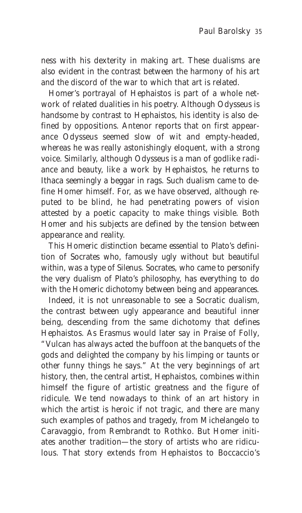ness with his dexterity in making art. These dualisms are also evident in the contrast between the harmony of his art and the discord of the war to which that art is related.

Homer's portrayal of Hephaistos is part of a whole network of related dualities in his poetry. Although Odysseus is handsome by contrast to Hephaistos, his identity is also defined by oppositions. Antenor reports that on first appearance Odysseus seemed slow of wit and empty-headed, whereas he was really astonishingly eloquent, with a strong voice. Similarly, although Odysseus is a man of godlike radiance and beauty, like a work by Hephaistos, he returns to Ithaca seemingly a beggar in rags. Such dualism came to define Homer himself. For, as we have observed, although reputed to be blind, he had penetrating powers of vision attested by a poetic capacity to make things visible. Both Homer and his subjects are defined by the tension between appearance and reality.

This Homeric distinction became essential to Plato's definition of Socrates who, famously ugly without but beautiful within, was a type of Silenus. Socrates, who came to personify the very dualism of Plato's philosophy, has everything to do with the Homeric dichotomy between being and appearances.

Indeed, it is not unreasonable to see a Socratic dualism, the contrast between ugly appearance and beautiful inner being, descending from the same dichotomy that defines Hephaistos. As Erasmus would later say in *Praise of Folly*, "Vulcan has always acted the buffoon at the banquets of the gods and delighted the company by his limping or taunts or other funny things he says." At the very beginnings of art history, then, the central artist, Hephaistos, combines within himself the figure of artistic greatness and the figure of ridicule. We tend nowadays to think of an art history in which the artist is heroic if not tragic, and there are many such examples of pathos and tragedy, from Michelangelo to Caravaggio, from Rembrandt to Rothko. But Homer initiates another tradition—the story of artists who are ridiculous. That story extends from Hephaistos to Boccaccio's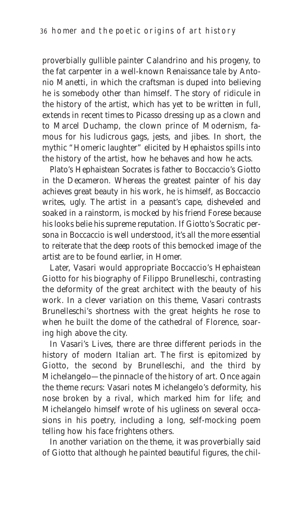proverbially gullible painter Calandrino and his progeny, to the fat carpenter in a well-known Renaissance tale by Antonio Manetti, in which the craftsman is duped into believing he is somebody other than himself. The story of ridicule in the history of the artist, which has yet to be written in full, extends in recent times to Picasso dressing up as a clown and to Marcel Duchamp, the clown prince of Modernism, famous for his ludicrous gags, jests, and jibes. In short, the mythic "Homeric laughter" elicited by Hephaistos spills into the history of the artist, how he behaves and how he acts.

Plato's Hephaistean Socrates is father to Boccaccio's Giotto in the *Decameron*. Whereas the greatest painter of his day achieves great beauty in his work, he is himself, as Boccaccio writes, ugly. The artist in a peasant's cape, disheveled and soaked in a rainstorm, is mocked by his friend Forese because his looks belie his supreme reputation. If Giotto's Socratic persona in Boccaccio is well understood, it's all the more essential to reiterate that the deep roots of this bemocked image of the artist are to be found earlier, in Homer.

Later, Vasari would appropriate Boccaccio's Hephaistean Giotto for his biography of Filippo Brunelleschi, contrasting the deformity of the great architect with the beauty of his work. In a clever variation on this theme, Vasari contrasts Brunelleschi's shortness with the great heights he rose to when he built the dome of the cathedral of Florence, soaring high above the city.

In Vasari's *Lives*, there are three different periods in the history of modern Italian art. The first is epitomized by Giotto, the second by Brunelleschi, and the third by Michelangelo—the pinnacle of the history of art. Once again the theme recurs: Vasari notes Michelangelo's deformity, his nose broken by a rival, which marked him for life; and Michelangelo himself wrote of his ugliness on several occasions in his poetry, including a long, self-mocking poem telling how his face frightens others.

In another variation on the theme, it was proverbially said of Giotto that although he painted beautiful figures, the chil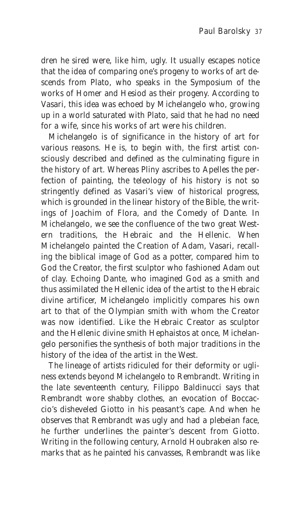dren he sired were, like him, ugly. It usually escapes notice that the idea of comparing one's progeny to works of art descends from Plato, who speaks in the *Symposium* of the works of Homer and Hesiod as their progeny. According to Vasari, this idea was echoed by Michelangelo who, growing up in a world saturated with Plato, said that he had no need for a wife, since his works of art were his children.

Michelangelo is of significance in the history of art for various reasons. He is, to begin with, the first artist consciously described and defined as the culminating figure in the history of art. Whereas Pliny ascribes to Apelles the perfection of painting, the teleology of his history is not so stringently defined as Vasari's view of historical progress, which is grounded in the linear history of the Bible, the writings of Joachim of Flora, and the *Comedy* of Dante. In Michelangelo, we see the confluence of the two great Western traditions, the Hebraic and the Hellenic. When Michelangelo painted the *Creation of Adam*, Vasari, recalling the biblical image of God as a potter, compared him to God the Creator, the first sculptor who fashioned Adam out of clay. Echoing Dante, who imagined God as a smith and thus assimilated the Hellenic idea of the artist to the Hebraic divine artificer, Michelangelo implicitly compares his own art to that of the Olympian smith with whom the Creator was now identified. Like the Hebraic Creator as sculptor and the Hellenic divine smith Hephaistos at once, Michelangelo personifies the synthesis of both major traditions in the history of the idea of the artist in the West.

The lineage of artists ridiculed for their deformity or ugliness extends beyond Michelangelo to Rembrandt. Writing in the late seventeenth century, Filippo Baldinucci says that Rembrandt wore shabby clothes, an evocation of Boccaccio's disheveled Giotto in his peasant's cape. And when he observes that Rembrandt was ugly and had a plebeian face, he further underlines the painter's descent from Giotto. Writing in the following century, Arnold Houbraken also remarks that as he painted his canvasses, Rembrandt was like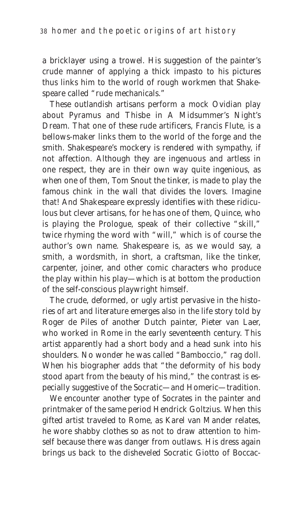a bricklayer using a trowel. His suggestion of the painter's crude manner of applying a thick impasto to his pictures thus links him to the world of rough workmen that Shakespeare called "rude mechanicals."

These outlandish artisans perform a mock Ovidian play about Pyramus and Thisbe in *A Midsummer's Night's Dream*. That one of these rude artificers, Francis Flute, is a bellows-maker links them to the world of the forge and the smith. Shakespeare's mockery is rendered with sympathy, if not affection. Although they are ingenuous and artless in one respect, they are in their own way quite ingenious, as when one of them, Tom Snout the tinker, is made to play the famous chink in the wall that divides the lovers. Imagine that! And Shakespeare expressly identifies with these ridiculous but clever artisans, for he has one of them, Quince, who is playing the Prologue, speak of their collective "skill," twice rhyming the word with "will," which is of course the author's own name. Shakespeare is, as we would say, a smith, a wordsmith, in short, a craftsman, like the tinker, carpenter, joiner, and other comic characters who produce the play within his play—which is at bottom the production of the self-conscious playwright himself.

The crude, deformed, or ugly artist pervasive in the histories of art and literature emerges also in the life story told by Roger de Piles of another Dutch painter, Pieter van Laer, who worked in Rome in the early seventeenth century. This artist apparently had a short body and a head sunk into his shoulders. No wonder he was called "Bamboccio," rag doll. When his biographer adds that "the deformity of his body stood apart from the beauty of his mind," the contrast is especially suggestive of the Socratic—and Homeric—tradition.

We encounter another type of Socrates in the painter and printmaker of the same period Hendrick Goltzius. When this gifted artist traveled to Rome, as Karel van Mander relates, he wore shabby clothes so as not to draw attention to himself because there was danger from outlaws. His dress again brings us back to the disheveled Socratic Giotto of Boccac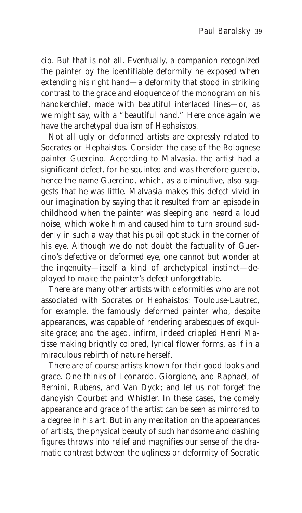cio. But that is not all. Eventually, a companion recognized the painter by the identifiable deformity he exposed when extending his right hand—a deformity that stood in striking contrast to the grace and eloquence of the monogram on his handkerchief, made with beautiful interlaced lines—or, as we might say, with a "beautiful hand." Here once again we have the archetypal dualism of Hephaistos.

Not all ugly or deformed artists are expressly related to Socrates or Hephaistos. Consider the case of the Bolognese painter Guercino. According to Malvasia, the artist had a significant defect, for he squinted and was therefore *guercio*, hence the name Guercino, which, as a diminutive, also suggests that he was little. Malvasia makes this defect vivid in our imagination by saying that it resulted from an episode in childhood when the painter was sleeping and heard a loud noise, which woke him and caused him to turn around suddenly in such a way that his pupil got stuck in the corner of his eye. Although we do not doubt the factuality of Guercino's defective or deformed eye, one cannot but wonder at the ingenuity—itself a kind of archetypical instinct—deployed to make the painter's defect unforgettable.

There are many other artists with deformities who are not associated with Socrates or Hephaistos: Toulouse-Lautrec, for example, the famously deformed painter who, despite appearances, was capable of rendering arabesques of exquisite grace; and the aged, infirm, indeed crippled Henri Matisse making brightly colored, lyrical flower forms, as if in a miraculous rebirth of nature herself.

There are of course artists known for their good looks and grace. One thinks of Leonardo, Giorgione, and Raphael, of Bernini, Rubens, and Van Dyck; and let us not forget the dandyish Courbet and Whistler. In these cases, the comely appearance and grace of the artist can be seen as mirrored to a degree in his art. But in any meditation on the appearances of artists, the physical beauty of such handsome and dashing figures throws into relief and magnifies our sense of the dramatic contrast between the ugliness or deformity of Socratic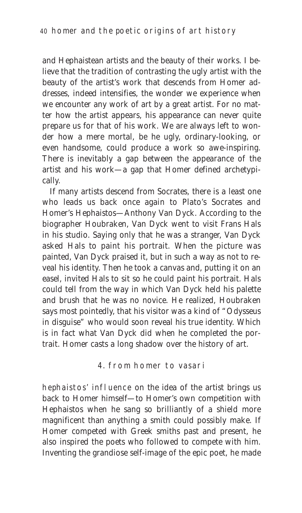and Hephaistean artists and the beauty of their works. I believe that the tradition of contrasting the ugly artist with the beauty of the artist's work that descends from Homer addresses, indeed intensifies, the wonder we experience when we encounter any work of art by a great artist. For no matter how the artist appears, his appearance can never quite prepare us for that of his work. We are always left to wonder how a mere mortal, be he ugly, ordinary-looking, or even handsome, could produce a work so awe-inspiring. There is inevitably a gap between the appearance of the artist and his work—a gap that Homer defined archetypically.

If many artists descend from Socrates, there is a least one who leads us back once again to Plato's Socrates and Homer's Hephaistos—Anthony Van Dyck. According to the biographer Houbraken, Van Dyck went to visit Frans Hals in his studio. Saying only that he was a stranger, Van Dyck asked Hals to paint his portrait. When the picture was painted, Van Dyck praised it, but in such a way as not to reveal his identity. Then he took a canvas and, putting it on an easel, invited Hals to sit so he could paint *his* portrait. Hals could tell from the way in which Van Dyck held his palette and brush that he was no novice. He realized, Houbraken says most pointedly, that his visitor was a kind of "Odysseus in disguise" who would soon reveal his true identity. Which is in fact what Van Dyck did when he completed the portrait. Homer casts a long shadow over the history of art.

## 4. from homer to vasari

hephaistos' influence on the idea of the artist brings us back to Homer himself—to Homer's own competition with Hephaistos when he sang so brilliantly of a shield more magnificent than anything a smith could possibly make. If Homer competed with Greek smiths past and present, he also inspired the poets who followed to compete with him. Inventing the grandiose self-image of the epic poet, he made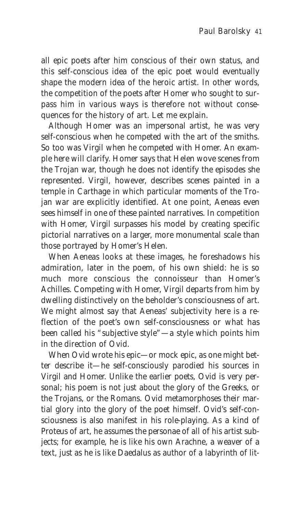all epic poets after him conscious of their own status, and this self-conscious idea of the epic poet would eventually shape the modern idea of the heroic artist. In other words, the competition of the poets after Homer who sought to surpass him in various ways is therefore not without consequences for the history of art. Let me explain.

Although Homer was an impersonal artist, he was very self-conscious when he competed with the art of the smiths. So too was Virgil when he competed with Homer. An example here will clarify. Homer says that Helen wove scenes from the Trojan war, though he does not identify the episodes she represented. Virgil, however, describes scenes painted in a temple in Carthage in which particular moments of the Trojan war are explicitly identified. At one point, Aeneas even sees himself in one of these painted narratives. In competition with Homer, Virgil surpasses his model by creating specific pictorial narratives on a larger, more monumental scale than those portrayed by Homer's Helen.

When Aeneas looks at these images, he foreshadows his admiration, later in the poem, of his own shield: he is so much more conscious the connoisseur than Homer's Achilles. Competing with Homer, Virgil departs from him by dwelling distinctively on the beholder's consciousness of art. We might almost say that Aeneas' subjectivity here is a reflection of the poet's own self-consciousness or what has been called his "subjective style"—a style which points him in the direction of Ovid.

When Ovid wrote his epic—or mock epic, as one might better describe it—he self-consciously parodied his sources in Virgil and Homer. Unlike the earlier poets, Ovid is very personal; his poem is not just about the glory of the Greeks, or the Trojans, or the Romans. Ovid metamorphoses their martial glory into the glory of the poet himself. Ovid's self-consciousness is also manifest in his role-playing. As a kind of Proteus of art, he assumes the personae of all of his artist subjects; for example, he is like his own Arachne, a weaver of a text, just as he is like Daedalus as author of a labyrinth of lit-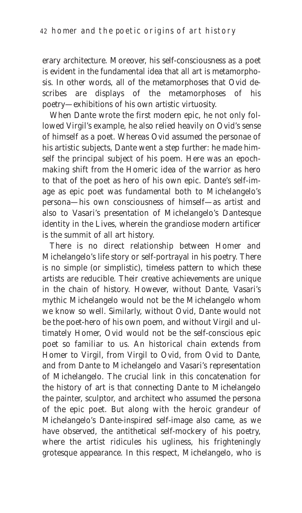erary architecture. Moreover, his self-consciousness as a poet is evident in the fundamental idea that all art is metamorphosis. In other words, all of the metamorphoses that Ovid describes are displays of the metamorphoses of his poetry—exhibitions of his own artistic virtuosity.

When Dante wrote the first modern epic, he not only followed Virgil's example, he also relied heavily on Ovid's sense of himself as a poet. Whereas Ovid assumed the personae of his artistic subjects, Dante went a step further: he made himself the principal subject of his poem. Here was an epochmaking shift from the Homeric idea of the warrior as hero to that of the poet as hero of his own epic. Dante's self-image as epic poet was fundamental both to Michelangelo's persona—his own consciousness of himself—as artist and also to Vasari's presentation of Michelangelo's Dantesque identity in the *Lives*, wherein the grandiose modern artificer is the summit of all art history.

There is no direct relationship between Homer and Michelangelo's life story or self-portrayal in his poetry. There is no simple (or simplistic), timeless pattern to which these artists are reducible. Their creative achievements are unique in the chain of history. However, without Dante, Vasari's mythic Michelangelo would not be the Michelangelo whom we know so well. Similarly, without Ovid, Dante would not be the poet-hero of his own poem, and without Virgil and ultimately Homer, Ovid would not be the self-conscious epic poet so familiar to us. An historical chain extends from Homer to Virgil, from Virgil to Ovid, from Ovid to Dante, and from Dante to Michelangelo and Vasari's representation of Michelangelo. The crucial link in this concatenation for the history of art is that connecting Dante to Michelangelo the painter, sculptor, and architect who assumed the persona of the epic poet. But along with the heroic grandeur of Michelangelo's Dante-inspired self-image also came, as we have observed, the antithetical self-mockery of his poetry, where the artist ridicules his ugliness, his frighteningly grotesque appearance. In this respect, Michelangelo, who is